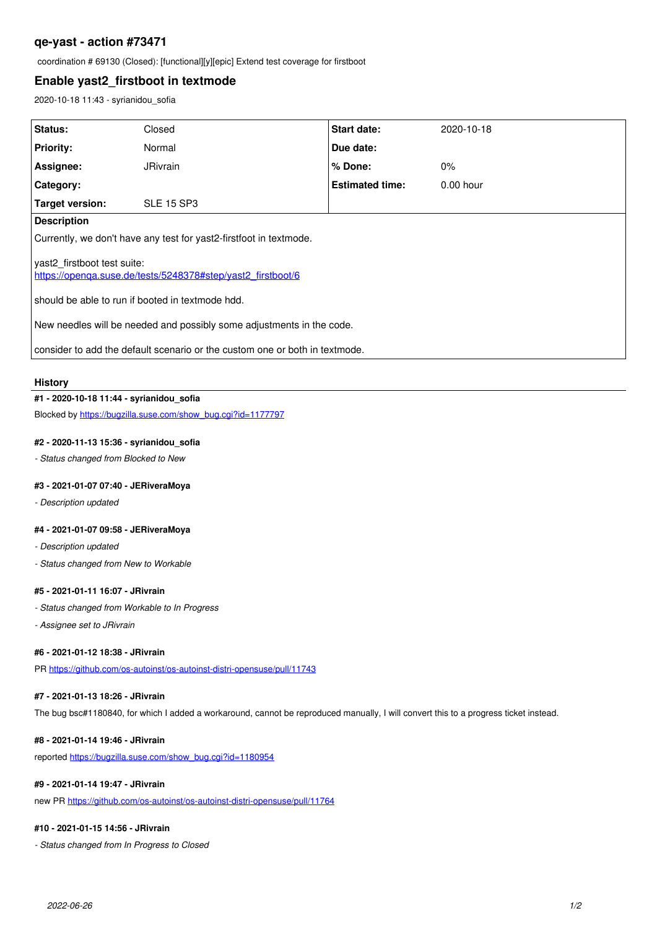# **qe-yast - action #73471**

coordination # 69130 (Closed): [functional][y][epic] Extend test coverage for firstboot

## **Enable yast2\_firstboot in textmode**

2020-10-18 11:43 - syrianidou\_sofia

| Status:                                                                                    | Closed            | Start date:            | 2020-10-18  |
|--------------------------------------------------------------------------------------------|-------------------|------------------------|-------------|
| <b>Priority:</b>                                                                           | Normal            | Due date:              |             |
| Assignee:                                                                                  | <b>JRivrain</b>   | % Done:                | $0\%$       |
| Category:                                                                                  |                   | <b>Estimated time:</b> | $0.00$ hour |
| Target version:                                                                            | <b>SLE 15 SP3</b> |                        |             |
| <b>Description</b>                                                                         |                   |                        |             |
| Currently, we don't have any test for yast2-firstfoot in textmode.                         |                   |                        |             |
| yast2 firstboot test suite:<br>https://openga.suse.de/tests/5248378#step/vast2_firstboot/6 |                   |                        |             |
| should be able to run if booted in textmode hdd.                                           |                   |                        |             |
| New needles will be needed and possibly some adjustments in the code.                      |                   |                        |             |
| consider to add the default scenario or the custom one or both in textmode.                |                   |                        |             |

#### **History**

## **#1 - 2020-10-18 11:44 - syrianidou\_sofia**

Blocked by [https://bugzilla.suse.com/show\\_bug.cgi?id=1177797](https://bugzilla.suse.com/show_bug.cgi?id=1177797)

### **#2 - 2020-11-13 15:36 - syrianidou\_sofia**

*- Status changed from Blocked to New*

## **#3 - 2021-01-07 07:40 - JERiveraMoya**

*- Description updated*

## **#4 - 2021-01-07 09:58 - JERiveraMoya**

- *Description updated*
- *Status changed from New to Workable*

#### **#5 - 2021-01-11 16:07 - JRivrain**

- *Status changed from Workable to In Progress*
- *Assignee set to JRivrain*

#### **#6 - 2021-01-12 18:38 - JRivrain**

PR <https://github.com/os-autoinst/os-autoinst-distri-opensuse/pull/11743>

## **#7 - 2021-01-13 18:26 - JRivrain**

The bug bsc#1180840, for which I added a workaround, cannot be reproduced manually, I will convert this to a progress ticket instead.

### **#8 - 2021-01-14 19:46 - JRivrain**

reported [https://bugzilla.suse.com/show\\_bug.cgi?id=1180954](https://bugzilla.suse.com/show_bug.cgi?id=1180954)

### **#9 - 2021-01-14 19:47 - JRivrain**

new PR<https://github.com/os-autoinst/os-autoinst-distri-opensuse/pull/11764>

## **#10 - 2021-01-15 14:56 - JRivrain**

*- Status changed from In Progress to Closed*